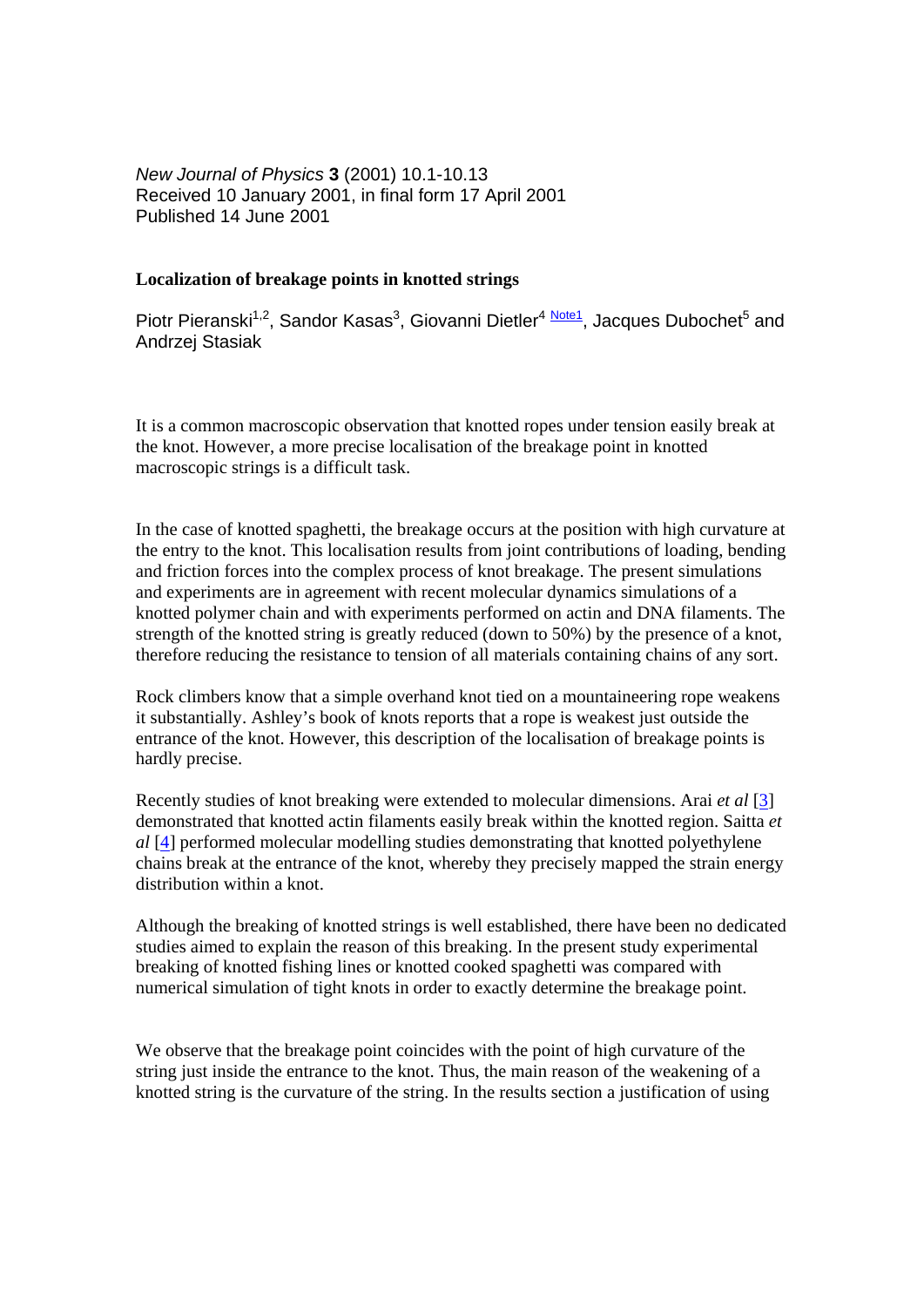*New Journal of Physics* **3** (2001) 10.1-10.13 Received 10 January 2001, in final form 17 April 2001 Published 14 June 2001

## **Localization of breakage points in knotted strings**

Piotr Pieranski<sup>1,2</sup>, Sandor Kasas<sup>3</sup>, Giovanni Dietler<sup>4 Note1</sup>, Jacques Dubochet<sup>5</sup> and Andrzej Stasiak

It is a common macroscopic observation that knotted ropes under tension easily break at the knot. However, a more precise localisation of the breakage point in knotted macroscopic strings is a difficult task.

In the case of knotted spaghetti, the breakage occurs at the position with high curvature at the entry to the knot. This localisation results from joint contributions of loading, bending and friction forces into the complex process of knot breakage. The present simulations and experiments are in agreement with recent molecular dynamics simulations of a knotted polymer chain and with experiments performed on actin and DNA filaments. The strength of the knotted string is greatly reduced (down to 50%) by the presence of a knot, therefore reducing the resistance to tension of all materials containing chains of any sort.

Rock climbers know that a simple overhand knot tied on a mountaineering rope weakens it substantially. Ashley's book of knots reports that a rope is weakest just outside the entrance of the knot. However, this description of the localisation of breakage points is hardly precise.

Recently studies of knot breaking were extended to molecular dimensions. Arai *et al* [3] demonstrated that knotted actin filaments easily break within the knotted region. Saitta *et al* [4] performed molecular modelling studies demonstrating that knotted polyethylene chains break at the entrance of the knot, whereby they precisely mapped the strain energy distribution within a knot.

Although the breaking of knotted strings is well established, there have been no dedicated studies aimed to explain the reason of this breaking. In the present study experimental breaking of knotted fishing lines or knotted cooked spaghetti was compared with numerical simulation of tight knots in order to exactly determine the breakage point.

We observe that the breakage point coincides with the point of high curvature of the string just inside the entrance to the knot. Thus, the main reason of the weakening of a knotted string is the curvature of the string. In the results section a justification of using